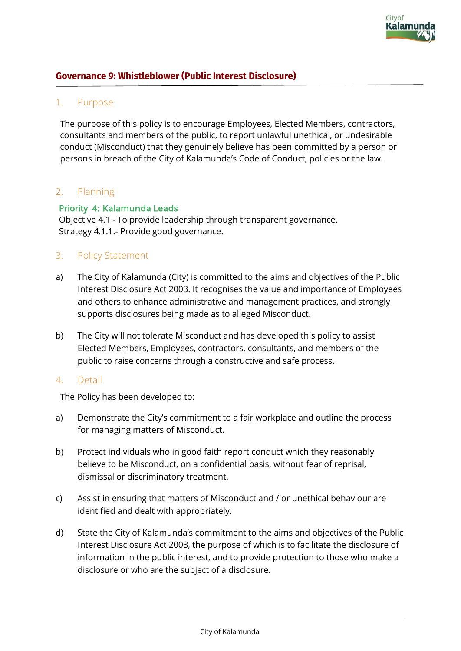

## **Governance 9: Whistleblower (Public Interest Disclosure)**

## 1. Purpose

The purpose of this policy is to encourage Employees, Elected Members, contractors, consultants and members of the public, to report unlawful unethical, or undesirable conduct (Misconduct) that they genuinely believe has been committed by a person or persons in breach of the City of Kalamunda's Code of Conduct, policies or the law.

## 2. Planning

#### Priority 4: Kalamunda Leads

Objective 4.1 - To provide leadership through transparent governance. Strategy 4.1.1.- Provide good governance.

# 3. Policy Statement

- a) The City of Kalamunda (City) is committed to the aims and objectives of the Public Interest Disclosure Act 2003. It recognises the value and importance of Employees and others to enhance administrative and management practices, and strongly supports disclosures being made as to alleged Misconduct.
- b) The City will not tolerate Misconduct and has developed this policy to assist Elected Members, Employees, contractors, consultants, and members of the public to raise concerns through a constructive and safe process.

#### 4. Detail

The Policy has been developed to:

- a) Demonstrate the City's commitment to a fair workplace and outline the process for managing matters of Misconduct.
- b) Protect individuals who in good faith report conduct which they reasonably believe to be Misconduct, on a confidential basis, without fear of reprisal, dismissal or discriminatory treatment.
- c) Assist in ensuring that matters of Misconduct and / or unethical behaviour are identified and dealt with appropriately.
- d) State the City of Kalamunda's commitment to the aims and objectives of the Public Interest Disclosure Act 2003, the purpose of which is to facilitate the disclosure of information in the public interest, and to provide protection to those who make a disclosure or who are the subject of a disclosure.